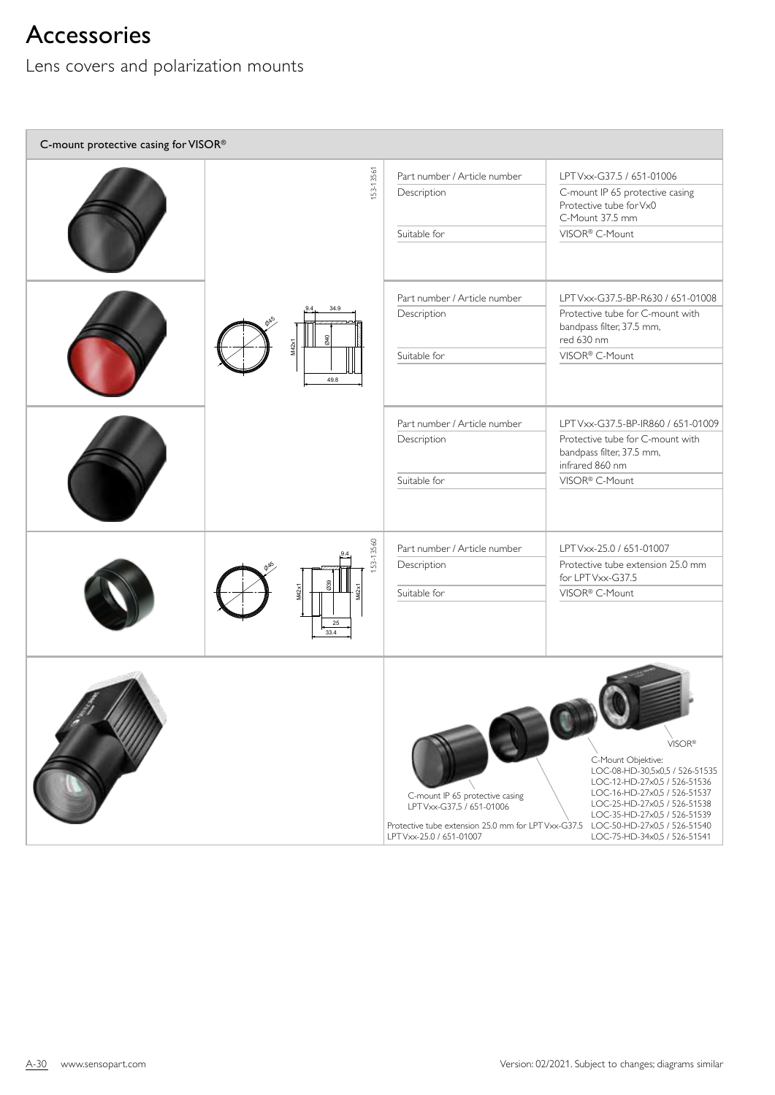## Accessories

Lens covers and polarization mounts

| C-mount protective casing for VISOR® |                                         |                                                                                                                                                 |                                                                                                                                                                                                                                                                |  |
|--------------------------------------|-----------------------------------------|-------------------------------------------------------------------------------------------------------------------------------------------------|----------------------------------------------------------------------------------------------------------------------------------------------------------------------------------------------------------------------------------------------------------------|--|
|                                      | 153-13561                               | Part number / Article number<br>Description<br>Suitable for                                                                                     | LPT Vxx-G37.5 / 651-01006<br>C-mount IP 65 protective casing<br>Protective tube for Vx0<br>C-Mount 37.5 mm<br>VISOR® C-Mount                                                                                                                                   |  |
|                                      | 34.9<br>M42x1<br>49.8                   | Part number / Article number<br>Description<br>Suitable for                                                                                     | LPT Vxx-G37.5-BP-R630 / 651-01008<br>Protective tube for C-mount with<br>bandpass filter, 37.5 mm,<br>red 630 nm<br>VISOR <sup>®</sup> C-Mount                                                                                                                 |  |
|                                      |                                         | Part number / Article number<br>Description<br>Suitable for                                                                                     | LPT Vxx-G37.5-BP-IR860 / 651-01009<br>Protective tube for C-mount with<br>bandpass filter, 37.5 mm,<br>infrared 860 nm<br>VISOR <sup>®</sup> C-Mount                                                                                                           |  |
|                                      | 153-13560<br>039<br>M42x1<br>25<br>33.4 | Part number / Article number<br>Description<br>Suitable for                                                                                     | LPT Vxx-25.0 / 651-01007<br>Protective tube extension 25.0 mm<br>for LPT Vxx-G37.5<br>VISOR® C-Mount                                                                                                                                                           |  |
|                                      |                                         | C-mount IP 65 protective casing<br>LPT Vxx-G37,5 / 651-01006<br>Protective tube extension 25.0 mm for LPT Vxx-G37.5<br>LPT Vxx-25.0 / 651-01007 | VISOR®<br>C-Mount Objektive:<br>LOC-08-HD-30,5x0,5 / 526-51535<br>LOC-12-HD-27x0,5 / 526-51536<br>LOC-16-HD-27x0,5 / 526-51537<br>LOC-25-HD-27x0,5 / 526-51538<br>LOC-35-HD-27x0,5 / 526-51539<br>LOC-50-HD-27x0,5 / 526-51540<br>LOC-75-HD-34x0,5 / 526-51541 |  |